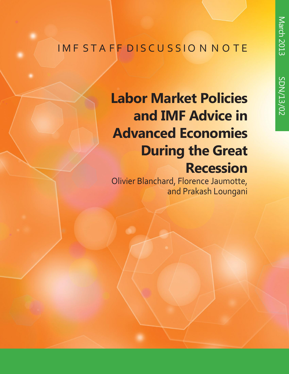# IMF STAFF DISCUSSION NOTE

# **Labor Market Policies and IMF Advice in Advanced Economies During the Great Recession**

Olivier Blanchard, Florence Jaumotte, and Prakash Loungani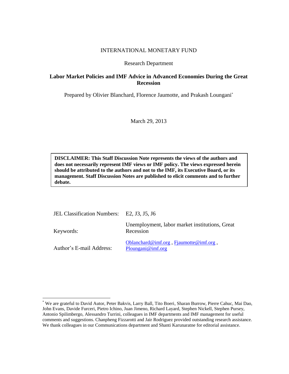#### INTERNATIONAL MONETARY FUND

#### Research Department

# **Labor Market Policies and IMF Advice in Advanced Economies During the Great Recession**

Prepared by Olivier Blanchard, Florence Jaumotte, and Prakash Loungani\*

March 29, 2013

**DISCLAIMER: This Staff Discussion Note represents the views of the authors and does not necessarily represent IMF views or IMF policy. The views expressed herein should be attributed to the authors and not to the IMF, its Executive Board, or its management. Staff Discussion Notes are published to elicit comments and to further debate.**

| JEL Classification Numbers: E2, J3, J5, J6 |                                                             |
|--------------------------------------------|-------------------------------------------------------------|
| Keywords:                                  | Unemployment, labor market institutions, Great<br>Recession |
| Author's E-mail Address:                   | Oblanchard@imf.org, Fjaumotte@imf.org,<br>Ploungani@imf.org |

 $\overline{a}$ 

<sup>\*</sup> We are grateful to David Autor, Peter Bakvis, Larry Ball, Tito Boeri, Sharan Burrow, Pierre Cahuc, Mai Dao, John Evans, Davide Furceri, Pietro Ichino, Juan Jimeno, Richard Layard, Stephen Nickell, Stephen Pursey, Antonio Spilimbergo, Alessandro Turrini, colleagues in IMF departments and IMF management for useful comments and suggestions. Chanpheng Fizzarotti and Jair Rodriguez provided outstanding research assistance. We thank colleagues in our Communications department and Shanti Karunaratne for editorial assistance.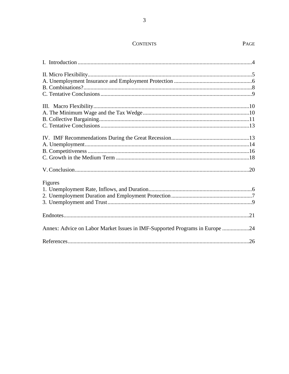# **CONTENTS**

PAGE

| Figures                                                                     |  |
|-----------------------------------------------------------------------------|--|
|                                                                             |  |
|                                                                             |  |
|                                                                             |  |
|                                                                             |  |
| Annex: Advice on Labor Market Issues in IMF-Supported Programs in Europe 24 |  |
|                                                                             |  |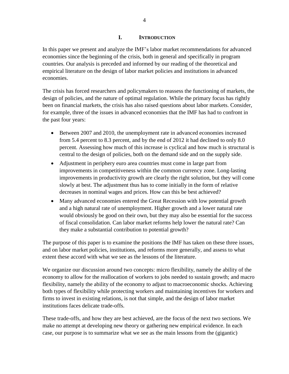# **I. INTRODUCTION**

In this paper we present and analyze the IMF's labor market recommendations for advanced economies since the beginning of the crisis, both in general and specifically in program countries. Our analysis is preceded and informed by our reading of the theoretical and empirical literature on the design of labor market policies and institutions in advanced economies.

The crisis has forced researchers and policymakers to reassess the functioning of markets, the design of policies, and the nature of optimal regulation. While the primary focus has rightly been on financial markets, the crisis has also raised questions about labor markets. Consider, for example, three of the issues in advanced economies that the IMF has had to confront in the past four years:

- Between 2007 and 2010, the unemployment rate in advanced economies increased from 5.4 percent to 8.3 percent, and by the end of 2012 it had declined to only 8.0 percent. Assessing how much of this increase is cyclical and how much is structural is central to the design of policies, both on the demand side and on the supply side.
- Adjustment in periphery euro area countries must come in large part from improvements in competitiveness within the common currency zone. Long-lasting improvements in productivity growth are clearly the right solution, but they will come slowly at best. The adjustment thus has to come initially in the form of relative decreases in nominal wages and prices. How can this be best achieved?
- Many advanced economies entered the Great Recession with low potential growth and a high natural rate of unemployment. Higher growth and a lower natural rate would obviously be good on their own, but they may also be essential for the success of fiscal consolidation. Can labor market reforms help lower the natural rate? Can they make a substantial contribution to potential growth?

The purpose of this paper is to examine the positions the IMF has taken on these three issues, and on labor market policies, institutions, and reforms more generally, and assess to what extent these accord with what we see as the lessons of the literature.

We organize our discussion around two concepts: micro flexibility, namely the ability of the economy to allow for the reallocation of workers to jobs needed to sustain growth; and macro flexibility, namely the ability of the economy to adjust to macroeconomic shocks. Achieving both types of flexibility while protecting workers and maintaining incentives for workers and firms to invest in existing relations, is not that simple, and the design of labor market institutions faces delicate trade-offs.

These trade-offs, and how they are best achieved, are the focus of the next two sections. We make no attempt at developing new theory or gathering new empirical evidence. In each case, our purpose is to summarize what we see as the main lessons from the (gigantic)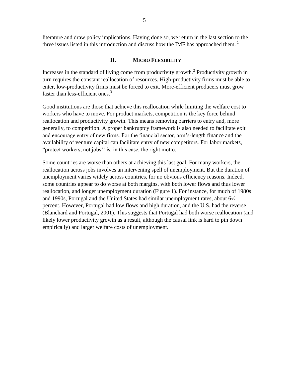literature and draw policy implications. Having done so, we return in the last section to the three issues listed in this introduction and discuss how the IMF has approached them.<sup>1</sup>

#### **II. MICRO FLEXIBILITY**

Increases in the standard of living come from productivity growth.<sup>2</sup> Productivity growth in turn requires the constant reallocation of resources. High-productivity firms must be able to enter, low-productivity firms must be forced to exit. More-efficient producers must grow faster than less-efficient ones.<sup>3</sup>

Good institutions are those that achieve this reallocation while limiting the welfare cost to workers who have to move. For product markets, competition is the key force behind reallocation and productivity growth. This means removing barriers to entry and, more generally, to competition. A proper bankruptcy framework is also needed to facilitate exit and encourage entry of new firms. For the financial sector, arm's-length finance and the availability of venture capital can facilitate entry of new competitors. For labor markets, "protect workers, not jobs" is, in this case, the right motto.

Some countries are worse than others at achieving this last goal. For many workers, the reallocation across jobs involves an intervening spell of unemployment. But the duration of unemployment varies widely across countries, for no obvious efficiency reasons. Indeed, some countries appear to do worse at both margins, with both lower flows and thus lower reallocation, and longer unemployment duration (Figure 1). For instance, for much of 1980s and 1990s, Portugal and the United States had similar unemployment rates, about 6½ percent. However, Portugal had low flows and high duration, and the U.S. had the reverse (Blanchard and Portugal, 2001). This suggests that Portugal had both worse reallocation (and likely lower productivity growth as a result, although the causal link is hard to pin down empirically) and larger welfare costs of unemployment.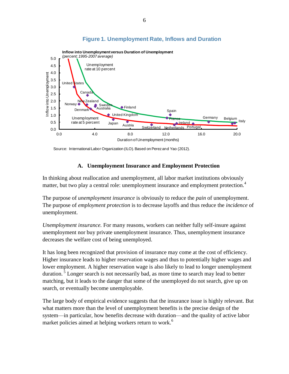

# **Figure 1. Unemployment Rate, Inflows and Duration**

Source: International Labor Organization (ILO). Based on Perez and Yao (2012).

#### **A. Unemployment Insurance and Employment Protection**

In thinking about reallocation and unemployment, all labor market institutions obviously matter, but two play a central role: unemployment insurance and employment protection.<sup>4</sup>

The purpose of *unemployment insurance* is obviously to reduce the *pain* of unemployment. The purpose of *employment protection* is to decrease layoffs and thus reduce the *incidence* of unemployment.

*Unemployment insurance.* For many reasons, workers can neither fully self-insure against unemployment nor buy private unemployment insurance. Thus, unemployment insurance decreases the welfare cost of being unemployed.

It has long been recognized that provision of insurance may come at the cost of efficiency. Higher insurance leads to higher reservation wages and thus to potentially higher wages and lower employment. A higher reservation wage is also likely to lead to longer unemployment duration.<sup>5</sup> Longer search is not necessarily bad, as more time to search may lead to better matching, but it leads to the danger that some of the unemployed do not search, give up on search, or eventually become unemployable.

The large body of empirical evidence suggests that the insurance issue is highly relevant. But what matters more than the level of unemployment benefits is the precise design of the system—in particular, how benefits decrease with duration—and the quality of active labor market policies aimed at helping workers return to work.<sup>6</sup>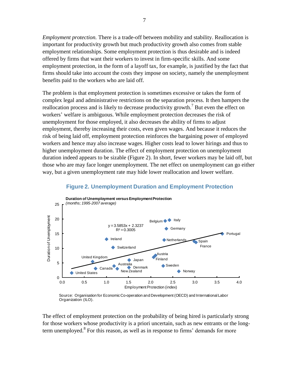*Employment protection.* There is a trade-off between mobility and stability. Reallocation is important for productivity growth but much productivity growth also comes from stable employment relationships. Some employment protection is thus desirable and is indeed offered by firms that want their workers to invest in firm-specific skills. And some employment protection, in the form of a layoff tax, for example, is justified by the fact that firms should take into account the costs they impose on society, namely the unemployment benefits paid to the workers who are laid off.

The problem is that employment protection is sometimes excessive or takes the form of complex legal and administrative restrictions on the separation process. It then hampers the reallocation process and is likely to decrease productivity growth.<sup>7</sup> But even the effect on workers' welfare is ambiguous. While employment protection decreases the risk of unemployment for those employed, it also decreases the ability of firms to adjust employment, thereby increasing their costs, even given wages. And because it reduces the risk of being laid off, employment protection reinforces the bargaining power of employed workers and hence may also increase wages. Higher costs lead to lower hirings and thus to higher unemployment duration. The effect of employment protection on unemployment duration indeed appears to be sizable (Figure 2). In short, fewer workers may be laid off, but those who are may face longer unemployment. The net effect on unemployment can go either way, but a given unemployment rate may hide lower reallocation and lower welfare.



#### **Figure 2. Unemployment Duration and Employment Protection**

Source: Organisation for Economic Co-operation and Development (OECD) and International Labor Organization (ILO).

The effect of employment protection on the probability of being hired is particularly strong for those workers whose productivity is a priori uncertain, such as new entrants or the longterm unemployed.<sup>8</sup> For this reason, as well as in response to firms' demands for more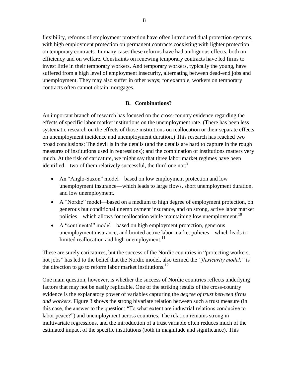flexibility, reforms of employment protection have often introduced dual protection systems, with high employment protection on permanent contracts coexisting with lighter protection on temporary contracts. In many cases these reforms have had ambiguous effects, both on efficiency and on welfare. Constraints on renewing temporary contracts have led firms to invest little in their temporary workers. And temporary workers, typically the young, have suffered from a high level of employment insecurity, alternating between dead-end jobs and unemployment. They may also suffer in other ways; for example, workers on temporary contracts often cannot obtain mortgages.

# **B. Combinations?**

An important branch of research has focused on the cross-country evidence regarding the effects of specific labor market institutions on the unemployment rate. (There has been less systematic research on the effects of those institutions on reallocation or their separate effects on unemployment incidence and unemployment duration.) This research has reached two broad conclusions: The devil is in the details (and the details are hard to capture in the rough measures of institutions used in regressions); and the combination of institutions matters very much. At the risk of caricature, we might say that three labor market regimes have been identified—two of them relatively successful, the third one not:<sup>9</sup>

- An "Anglo-Saxon" model—based on low employment protection and low unemployment insurance—which leads to large flows, short unemployment duration, and low unemployment.
- A "Nordic" model—based on a medium to high degree of employment protection, on generous but conditional unemployment insurance, and on strong, active labor market policies—which allows for reallocation while maintaining low unemployment.<sup>10</sup>
- A "continental" model—based on high employment protection, generous unemployment insurance, and limited active labor market policies—which leads to limited reallocation and high unemployment. $11$

These are surely caricatures, but the success of the Nordic countries in "protecting workers, not jobs" has led to the belief that the Nordic model, also termed the *"flexicurity model*," is the direction to go to reform labor market institutions.<sup>12</sup>

One main question, however, is whether the success of Nordic countries reflects underlying factors that may not be easily replicable. One of the striking results of the cross-country evidence is the explanatory power of variables capturing the *degree of trust between firms and workers.* Figure 3 shows the strong bivariate relation between such a trust measure (in this case, the answer to the question: "To what extent are industrial relations conducive to labor peace?") and unemployment across countries. The relation remains strong in multivariate regressions, and the introduction of a trust variable often reduces much of the estimated impact of the specific institutions (both in magnitude and significance). This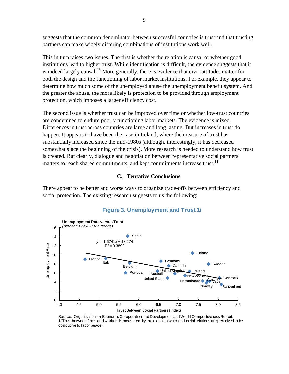suggests that the common denominator between successful countries is trust and that trusting partners can make widely differing combinations of institutions work well.

This in turn raises two issues. The first is whether the relation is causal or whether good institutions lead to higher trust. While identification is difficult, the evidence suggests that it is indeed largely causal.<sup>13</sup> More generally, there is evidence that civic attitudes matter for both the design and the functioning of labor market institutions. For example, they appear to determine how much some of the unemployed abuse the unemployment benefit system. And the greater the abuse, the more likely is protection to be provided through employment protection, which imposes a larger efficiency cost.

The second issue is whether trust can be improved over time or whether low-trust countries are condemned to endure poorly functioning labor markets. The evidence is mixed. Differences in trust across countries are large and long lasting. But increases in trust do happen. It appears to have been the case in Ireland, where the measure of trust has substantially increased since the mid-1980s (although, interestingly, it has decreased somewhat since the beginning of the crisis). More research is needed to understand how trust is created. But clearly, dialogue and negotiation between representative social partners matters to reach shared commitments, and kept commitments increase trust.<sup>14</sup>

#### **C. Tentative Conclusions**

There appear to be better and worse ways to organize trade-offs between efficiency and social protection. The existing research suggests to us the following:



# **Figure 3. Unemployment and Trust 1/**

Source: Organisation for Economic Co-operation and Development and World Competitiveness Report. 1/ Trust between firms and workers is measured by the extent to which industrial relations are perceived to be conducive to labor peace.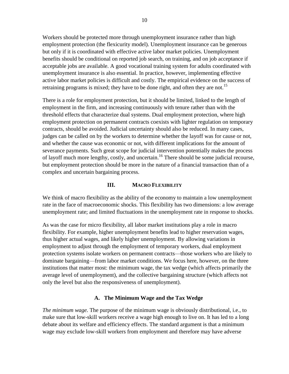Workers should be protected more through unemployment insurance rather than high employment protection (the flexicurity model). Unemployment insurance can be generous but only if it is coordinated with effective active labor market policies. Unemployment benefits should be conditional on reported job search, on training, and on job acceptance if acceptable jobs are available. A good vocational training system for adults coordinated with unemployment insurance is also essential. In practice, however, implementing effective active labor market policies is difficult and costly. The empirical evidence on the success of retraining programs is mixed; they have to be done right, and often they are not.<sup>15</sup>

There is a role for employment protection, but it should be limited, linked to the length of employment in the firm, and increasing continuously with tenure rather than with the threshold effects that characterize dual systems. Dual employment protection, where high employment protection on permanent contracts coexists with lighter regulation on temporary contracts, should be avoided. Judicial uncertainty should also be reduced. In many cases, judges can be called on by the workers to determine whether the layoff was for cause or not, and whether the cause was economic or not, with different implications for the amount of severance payments. Such great scope for judicial intervention potentially makes the process of layoff much more lengthy, costly, and uncertain.<sup>16</sup> There should be some judicial recourse, but employment protection should be more in the nature of a financial transaction than of a complex and uncertain bargaining process.

# **III. MACRO FLEXIBILITY**

We think of macro flexibility as the ability of the economy to maintain a low unemployment rate in the face of macroeconomic shocks. This flexibility has two dimensions: a low average unemployment rate; and limited fluctuations in the unemployment rate in response to shocks.

As was the case for micro flexibility, all labor market institutions play a role in macro flexibility. For example, higher unemployment benefits lead to higher reservation wages, thus higher actual wages, and likely higher unemployment. By allowing variations in employment to adjust through the employment of temporary workers, dual employment protection systems isolate workers on permanent contracts—those workers who are likely to dominate bargaining—from labor market conditions. We focus here, however, on the three institutions that matter most: the minimum wage, the tax wedge (which affects primarily the average level of unemployment), and the collective bargaining structure (which affects not only the level but also the responsiveness of unemployment).

# **A. The Minimum Wage and the Tax Wedge**

*The minimum wage.* The purpose of the minimum wage is obviously distributional, i.e., to make sure that low-skill workers receive a wage high enough to live on. It has led to a long debate about its welfare and efficiency effects. The standard argument is that a minimum wage may exclude low-skill workers from employment and therefore may have adverse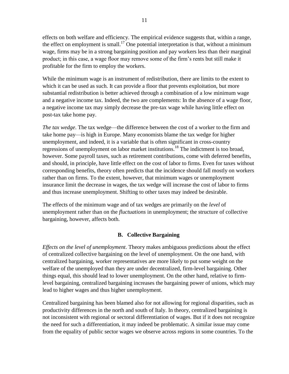effects on both welfare and efficiency. The empirical evidence suggests that, within a range, the effect on employment is small.<sup>17</sup> One potential interpretation is that, without a minimum wage, firms may be in a strong bargaining position and pay workers less than their marginal product; in this case, a wage floor may remove some of the firm's rents but still make it profitable for the firm to employ the workers.

While the minimum wage is an instrument of redistribution, there are limits to the extent to which it can be used as such. It can provide a floor that prevents exploitation, but more substantial redistribution is better achieved through a combination of a low minimum wage and a negative income tax. Indeed, the two are complements: In the absence of a wage floor, a negative income tax may simply decrease the pre-tax wage while having little effect on post-tax take home pay.

*The tax wedge*. The tax wedge—the difference between the cost of a worker to the firm and take home pay—is high in Europe. Many economists blame the tax wedge for higher unemployment, and indeed, it is a variable that is often significant in cross-country regressions of unemployment on labor market institutions.<sup>18</sup> The indictment is too broad, however. Some payroll taxes, such as retirement contributions, come with deferred benefits, and should, in principle, have little effect on the cost of labor to firms. Even for taxes without corresponding benefits, theory often predicts that the incidence should fall mostly on workers rather than on firms. To the extent, however, that minimum wages or unemployment insurance limit the decrease in wages, the tax wedge will increase the cost of labor to firms and thus increase unemployment. Shifting to other taxes may indeed be desirable.

The effects of the minimum wage and of tax wedges are primarily on the *level* of unemployment rather than on the *fluctuations* in unemployment; the structure of collective bargaining, however, affects both.

# **B. Collective Bargaining**

*Effects on the level of unemployment*. Theory makes ambiguous predictions about the effect of centralized collective bargaining on the level of unemployment. On the one hand, with centralized bargaining, worker representatives are more likely to put some weight on the welfare of the unemployed than they are under decentralized, firm-level bargaining. Other things equal, this should lead to lower unemployment. On the other hand, relative to firmlevel bargaining, centralized bargaining increases the bargaining power of unions, which may lead to higher wages and thus higher unemployment.

Centralized bargaining has been blamed also for not allowing for regional disparities, such as productivity differences in the north and south of Italy. In theory, centralized bargaining is not inconsistent with regional or sectoral differentiation of wages. But if it does not recognize the need for such a differentiation, it may indeed be problematic. A similar issue may come from the equality of public sector wages we observe across regions in some countries. To the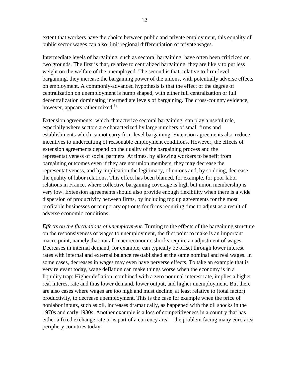extent that workers have the choice between public and private employment, this equality of public sector wages can also limit regional differentiation of private wages.

Intermediate levels of bargaining, such as sectoral bargaining, have often been criticized on two grounds. The first is that, relative to centralized bargaining, they are likely to put less weight on the welfare of the unemployed. The second is that, relative to firm-level bargaining, they increase the bargaining power of the unions, with potentially adverse effects on employment. A commonly-advanced hypothesis is that the effect of the degree of centralization on unemployment is hump shaped, with either full centralization or full decentralization dominating intermediate levels of bargaining. The cross-country evidence, however, appears rather mixed.<sup>19</sup>

Extension agreements, which characterize sectoral bargaining, can play a useful role, especially where sectors are characterized by large numbers of small firms and establishments which cannot carry firm-level bargaining. Extension agreements also reduce incentives to undercutting of reasonable employment conditions. However, the effects of extension agreements depend on the quality of the bargaining process and the representativeness of social partners. At times, by allowing workers to benefit from bargaining outcomes even if they are not union members, they may decrease the representativeness, and by implication the legitimacy, of unions and, by so doing, decrease the quality of labor relations. This effect has been blamed, for example, for poor labor relations in France, where collective bargaining coverage is high but union membership is very low. Extension agreements should also provide enough flexibility when there is a wide dispersion of productivity between firms, by including top up agreements for the most profitable businesses or temporary opt-outs for firms requiring time to adjust as a result of adverse economic conditions.

*Effects on the fluctuations of unemployment*. Turning to the effects of the bargaining structure on the responsiveness of wages to unemployment, the first point to make is an important macro point, namely that not all macroeconomic shocks require an adjustment of wages. Decreases in internal demand, for example, can typically be offset through lower interest rates with internal and external balance reestablished at the same nominal and real wages. In some cases, decreases in wages may even have perverse effects. To take an example that is very relevant today, wage deflation can make things worse when the economy is in a liquidity trap: Higher deflation, combined with a zero nominal interest rate, implies a higher real interest rate and thus lower demand, lower output, and higher unemployment. But there are also cases where wages are too high and must decline, at least relative to (total factor) productivity, to decrease unemployment. This is the case for example when the price of nonlabor inputs, such as oil, increases dramatically, as happened with the oil shocks in the 1970s and early 1980s. Another example is a loss of competitiveness in a country that has either a fixed exchange rate or is part of a currency area—the problem facing many euro area periphery countries today.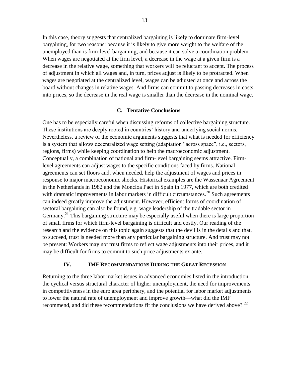In this case, theory suggests that centralized bargaining is likely to dominate firm-level bargaining, for two reasons: because it is likely to give more weight to the welfare of the unemployed than is firm-level bargaining; and because it can solve a coordination problem. When wages are negotiated at the firm level, a decrease in the wage at a given firm is a decrease in the relative wage, something that workers will be reluctant to accept. The process of adjustment in which all wages and, in turn, prices adjust is likely to be protracted. When wages are negotiated at the centralized level, wages can be adjusted at once and across the board without changes in relative wages. And firms can commit to passing decreases in costs into prices, so the decrease in the real wage is smaller than the decrease in the nominal wage.

#### **C. Tentative Conclusions**

One has to be especially careful when discussing reforms of collective bargaining structure. These institutions are deeply rooted in countries' history and underlying social norms. Nevertheless, a review of the economic arguments suggests that what is needed for efficiency is a system that allows decentralized wage setting (adaptation "across space", i.e., sectors, regions, firms) while keeping coordination to help the macroeconomic adjustment. Conceptually, a combination of national and firm-level bargaining seems attractive. Firmlevel agreements can adjust wages to the specific conditions faced by firms. National agreements can set floors and, when needed, help the adjustment of wages and prices in response to major macroeconomic shocks. Historical examples are the Wassenaar Agreement in the Netherlands in 1982 and the Moncloa Pact in Spain in 1977, which are both credited with dramatic improvements in labor markets in difficult circumstances.<sup>20</sup> Such agreements can indeed greatly improve the adjustment. However, efficient forms of coordination of sectoral bargaining can also be found, e.g. wage leadership of the tradable sector in Germany.<sup>21</sup> This bargaining structure may be especially useful when there is large proportion of small firms for which firm-level bargaining is difficult and costly. Our reading of the research and the evidence on this topic again suggests that the devil is in the details and that, to succeed, trust is needed more than any particular bargaining structure. And trust may not be present: Workers may not trust firms to reflect wage adjustments into their prices, and it may be difficult for firms to commit to such price adjustments ex ante.

#### **IV. IMF RECOMMENDATIONS DURING THE GREAT RECESSION**

Returning to the three labor market issues in advanced economies listed in the introduction the cyclical versus structural character of higher unemployment, the need for improvements in competitiveness in the euro area periphery, and the potential for labor market adjustments to lower the natural rate of unemployment and improve growth—what did the IMF recommend, and did these recommendations fit the conclusions we have derived above?  $22$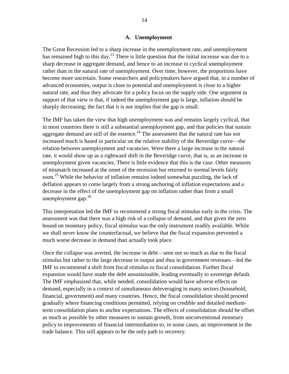#### **A. Unemployment**

The Great Recession led to a sharp increase in the unemployment rate, and unemployment has remained high to this day.<sup>23</sup> There is little question that the initial increase was due to a sharp decrease in aggregate demand, and hence to an increase in cyclical unemployment rather than in the natural rate of unemployment. Over time, however, the proportions have become more uncertain. Some researchers and policymakers have argued that, in a number of advanced economies, output is close to potential and unemployment is close to a higher natural rate, and thus they advocate for a policy focus on the supply side. One argument in support of that view is that, if indeed the unemployment gap is large, inflation should be sharply decreasing; the fact that it is not implies that the gap is small.

The IMF has taken the view that high unemployment was and remains largely cyclical, that in most countries there is still a substantial unemployment gap, and that policies that sustain aggregate demand are still of the essence.<sup>24</sup> The assessment that the natural rate has not increased much is based in particular on the relative stability of the Beveridge curve—the relation between unemployment and vacancies. Were there a large increase in the natural rate, it would show up as a rightward shift in the Beveridge curve, that is, as an increase in unemployment given vacancies. There is little evidence that this is the case. Other measures of mismatch increased at the onset of the recession but returned to normal levels fairly soon.<sup>25</sup> While the behavior of inflation remains indeed somewhat puzzling, the lack of deflation appears to come largely from a strong anchoring of inflation expectations and a decrease in the effect of the unemployment gap on inflation rather than from a small unemployment gap. $26$ 

This interpretation led the IMF to recommend a strong fiscal stimulus early in the crisis. The assessment was that there was a high risk of a collapse of demand, and that given the zero bound on monetary policy, fiscal stimulus was the only instrument readily available. While we shall never know the counterfactual, we believe that the fiscal expansion prevented a much worse decrease in demand than actually took place.

Once the collapse was averted, the increase in debt—seen not so much as due to the fiscal stimulus but rather to the large decrease in output and thus in government revenues—led the IMF to recommend a shift from fiscal stimulus to fiscal consolidation. Further fiscal expansion would have made the debt unsustainable, leading eventually to sovereign default. The IMF emphasized that, while needed, consolidation would have adverse effects on demand, especially in a context of simultaneous deleveraging in many sectors (household, financial, government) and many countries. Hence, the fiscal consolidation should proceed gradually where financing conditions permitted, relying on credible and detailed mediumterm consolidation plans to anchor expectations. The effects of consolidation should be offset as much as possible by other measures to sustain growth, from unconventional monetary policy to improvements of financial intermediation to, in some cases, an improvement in the trade balance. This still appears to be the only path to recovery.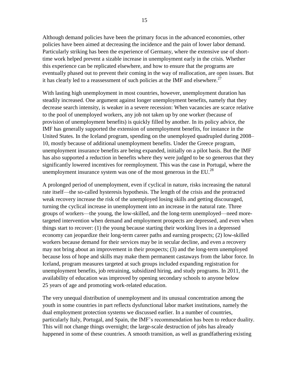Although demand policies have been the primary focus in the advanced economies, other policies have been aimed at decreasing the incidence and the pain of lower labor demand. Particularly striking has been the experience of Germany, where the extensive use of shorttime work helped prevent a sizable increase in unemployment early in the crisis. Whether this experience can be replicated elsewhere, and how to ensure that the programs are eventually phased out to prevent their coming in the way of reallocation, are open issues. But it has clearly led to a reassessment of such policies at the IMF and elsewhere.<sup>27</sup>

With lasting high unemployment in most countries, however, unemployment duration has steadily increased. One argument against longer unemployment benefits, namely that they decrease search intensity, is weaker in a severe recession: When vacancies are scarce relative to the pool of unemployed workers, any job not taken up by one worker (because of provision of unemployment benefits) is quickly filled by another. In its policy advice, the IMF has generally supported the extension of unemployment benefits, for instance in the United States. In the Iceland program, spending on the unemployed quadrupled during 2008– 10, mostly because of additional unemployment benefits. Under the Greece program, unemployment insurance benefits are being expanded, initially on a pilot basis. But the IMF has also supported a reduction in benefits where they were judged to be so generous that they significantly lowered incentives for reemployment. This was the case in Portugal, where the unemployment insurance system was one of the most generous in the EU.<sup>28</sup>

A prolonged period of unemployment, even if cyclical in nature, risks increasing the natural rate itself—the so-called hysteresis hypothesis. The length of the crisis and the protracted weak recovery increase the risk of the unemployed losing skills and getting discouraged, turning the cyclical increase in unemployment into an increase in the natural rate. Three groups of workers—the young, the low-skilled, and the long-term unemployed—need moretargeted intervention when demand and employment prospects are depressed, and even when things start to recover: (1) the young because starting their working lives in a depressed economy can jeopardize their long-term career paths and earning prospects; (2) low-skilled workers because demand for their services may be in secular decline, and even a recovery may not bring about an improvement in their prospects; (3) and the long-term unemployed because loss of hope and skills may make them permanent castaways from the labor force. In Iceland, program measures targeted at such groups included expanding registration for unemployment benefits, job retraining, subsidized hiring, and study programs. In 2011, the availability of education was improved by opening secondary schools to anyone below 25 years of age and promoting work-related education.

The very unequal distribution of unemployment and its unusual concentration among the youth in some countries in part reflects dysfunctional labor market institutions, namely the dual employment protection systems we discussed earlier. In a number of countries, particularly Italy, Portugal, and Spain, the IMF's recommendation has been to reduce duality. This will not change things overnight; the large-scale destruction of jobs has already happened in some of these countries. A smooth transition, as well as grandfathering existing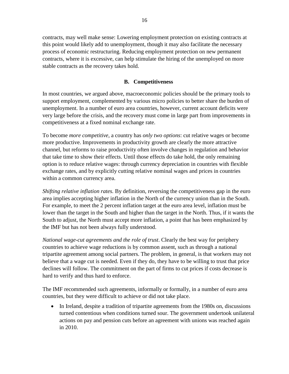contracts, may well make sense: Lowering employment protection on existing contracts at this point would likely add to unemployment, though it may also facilitate the necessary process of economic restructuring. Reducing employment protection on new permanent contracts, where it is excessive, can help stimulate the hiring of the unemployed on more stable contracts as the recovery takes hold.

# **B. Competitiveness**

In most countries, we argued above, macroeconomic policies should be the primary tools to support employment, complemented by various micro policies to better share the burden of unemployment. In a number of euro area countries, however, current account deficits were very large before the crisis, and the recovery must come in large part from improvements in competitiveness at a fixed nominal exchange rate.

To become *more competitive*, a country has *only two options*: cut relative wages or become more productive. Improvements in productivity growth are clearly the more attractive channel, but reforms to raise productivity often involve changes in regulation and behavior that take time to show their effects. Until those effects do take hold, the only remaining option is to reduce relative wages: through currency depreciation in countries with flexible exchange rates, and by explicitly cutting relative nominal wages and prices in countries within a common currency area.

*Shifting relative inflation rates.* By definition, reversing the competitiveness gap in the euro area implies accepting higher inflation in the North of the currency union than in the South. For example, to meet the 2 percent inflation target at the euro area level, inflation must be lower than the target in the South and higher than the target in the North. Thus, if it wants the South to adjust, the North must accept more inflation, a point that has been emphasized by the IMF but has not been always fully understood.

*National wage-cut agreements and the role of trust*. Clearly the best way for periphery countries to achieve wage reductions is by common assent, such as through a national tripartite agreement among social partners. The problem, in general, is that workers may not believe that a wage cut is needed. Even if they do, they have to be willing to trust that price declines will follow. The commitment on the part of firms to cut prices if costs decrease is hard to verify and thus hard to enforce.

The IMF recommended such agreements, informally or formally, in a number of euro area countries, but they were difficult to achieve or did not take place.

• In Ireland, despite a tradition of tripartite agreements from the 1980s on, discussions turned contentious when conditions turned sour. The government undertook unilateral actions on pay and pension cuts before an agreement with unions was reached again in 2010.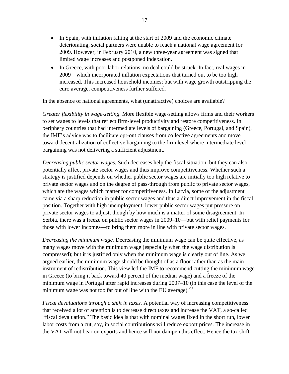- In Spain, with inflation falling at the start of 2009 and the economic climate deteriorating, social partners were unable to reach a national wage agreement for 2009. However, in February 2010, a new three-year agreement was signed that limited wage increases and postponed indexation.
- In Greece, with poor labor relations, no deal could be struck. In fact, real wages in 2009—which incorporated inflation expectations that turned out to be too high increased. This increased household incomes; but with wage growth outstripping the euro average, competitiveness further suffered.

In the absence of national agreements, what (unattractive) choices are available?

*Greater flexibility in wage-setting*. More flexible wage-setting allows firms and their workers to set wages to levels that reflect firm-level productivity and restore competitiveness. In periphery countries that had intermediate levels of bargaining (Greece, Portugal, and Spain), the IMF's advice was to facilitate opt-out clauses from collective agreements and move toward decentralization of collective bargaining to the firm level where intermediate level bargaining was not delivering a sufficient adjustment.

*Decreasing public sector wages.* Such decreases help the fiscal situation, but they can also potentially affect private sector wages and thus improve competitiveness. Whether such a strategy is justified depends on whether public sector wages are initially too high relative to private sector wages and on the degree of pass-through from public to private sector wages, which are the wages which matter for competitiveness. In Latvia, some of the adjustment came via a sharp reduction in public sector wages and thus a direct improvement in the fiscal position. Together with high unemployment, lower public sector wages put pressure on private sector wages to adjust, though by how much is a matter of some disagreement. In Serbia, there was a freeze on public sector wages in 2009–10—but with relief payments for those with lower incomes—to bring them more in line with private sector wages.

*Decreasing the minimum wage.* Decreasing the minimum wage can be quite effective, as many wages move with the minimum wage (especially when the wage distribution is compressed); but it is justified only when the minimum wage is clearly out of line. As we argued earlier, the minimum wage should be thought of as a floor rather than as the main instrument of redistribution. This view led the IMF to recommend cutting the minimum wage in Greece (to bring it back toward 40 percent of the median wage) and a freeze of the minimum wage in Portugal after rapid increases during 2007–10 (in this case the level of the minimum wage was not too far out of line with the EU average). $^{29}$ 

*Fiscal devaluations through a shift in taxes.* A potential way of increasing competitiveness that received a lot of attention is to decrease direct taxes and increase the VAT, a so-called ―fiscal devaluation.‖ The basic idea is that with nominal wages fixed in the short run, lower labor costs from a cut, say, in social contributions will reduce export prices. The increase in the VAT will not bear on exports and hence will not dampen this effect. Hence the tax shift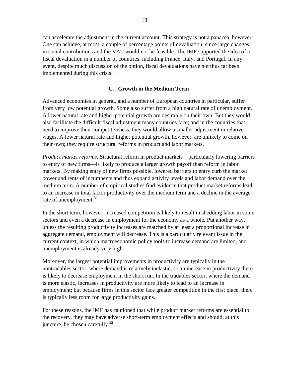can accelerate the adjustment in the current account. This strategy is not a panacea, however: One can achieve, at most, a couple of percentage points of devaluation, since large changes in social contributions and the VAT would not be feasible. The IMF supported the idea of a fiscal devaluation in a number of countries, including France, Italy, and Portugal. In any event, despite much discussion of the option, fiscal devaluations have not thus far been implemented during this crisis. $30$ 

# **C. Growth in the Medium Term**

Advanced economies in general, and a number of European countries in particular, suffer from very low potential growth. Some also suffer from a high natural rate of unemployment. A lower natural rate and higher potential growth are desirable on their own. But they would also facilitate the difficult fiscal adjustment many countries face; and in the countries that need to improve their competitiveness, they would allow a smaller adjustment in relative wages. A lower natural rate and higher potential growth, however, are unlikely to come on their own; they require structural reforms in product and labor markets.

*Product market reforms*. Structural reform in product markets—particularly lowering barriers to entry of new firms—is likely to produce a larger growth payoff than reform in labor markets. By making entry of new firms possible, lowered barriers to entry curb the market power and rents of incumbents and thus expand activity levels and labor demand over the medium term. A number of empirical studies find evidence that product market reforms lead to an increase in total factor productivity over the medium term and a decline in the average rate of unemployment.<sup>31</sup>

In the short term, however, increased competition is likely to result in shedding labor in some sectors and even a decrease in employment for the economy as a whole. Put another way, unless the resulting productivity increases are matched by at least a proportional increase in aggregate demand, employment will decrease. This is a particularly relevant issue in the current context, in which macroeconomic policy tools to increase demand are limited, and unemployment is already very high.

Moreover, the largest potential improvements in productivity are typically in the nontradables sector, where demand is relatively inelastic, so an increase in productivity there is likely to decrease employment in the short run. In the tradables sector, where the demand is more elastic, increases in productivity are more likely to lead to an increase in employment; but because firms in this sector face greater competition in the first place, there is typically less room for large productivity gains.

For these reasons, the IMF has cautioned that while product market reforms are essential to the recovery, they may have adverse short-term employment effects and should, at this juncture, be chosen carefully.<sup>32</sup>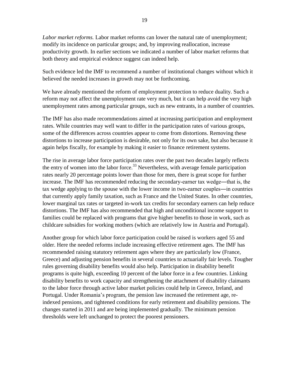19

*Labor market reforms.* Labor market reforms can lower the natural rate of unemployment; modify its incidence on particular groups; and, by improving reallocation, increase productivity growth. In earlier sections we indicated a number of labor market reforms that both theory and empirical evidence suggest can indeed help.

Such evidence led the IMF to recommend a number of institutional changes without which it believed the needed increases in growth may not be forthcoming.

We have already mentioned the reform of employment protection to reduce duality. Such a reform may not affect the unemployment rate very much, but it can help avoid the very high unemployment rates among particular groups, such as new entrants, in a number of countries.

The IMF has also made recommendations aimed at increasing participation and employment rates. While countries may well want to differ in the participation rates of various groups, some of the differences across countries appear to come from distortions. Removing these distortions to increase participation is desirable, not only for its own sake, but also because it again helps fiscally, for example by making it easier to finance retirement systems.

The rise in average labor force participation rates over the past two decades largely reflects the entry of women into the labor force.<sup>33</sup> Nevertheless, with average female participation rates nearly 20 percentage points lower than those for men, there is great scope for further increase. The IMF has recommended reducing the secondary-earner tax wedge—that is, the tax wedge applying to the spouse with the lower income in two-earner couples―in countries that currently apply family taxation, such as France and the United States. In other countries, lower marginal tax rates or targeted in-work tax credits for secondary earners can help reduce distortions. The IMF has also recommended that high and unconditional income support to families could be replaced with programs that give higher benefits to those in work, such as childcare subsidies for working mothers (which are relatively low in Austria and Portugal).

Another group for which labor force participation could be raised is workers aged 55 and older. Here the needed reforms include increasing effective retirement ages. The IMF has recommended raising statutory retirement ages where they are particularly low (France, Greece) and adjusting pension benefits in several countries to actuarially fair levels. Tougher rules governing disability benefits would also help. Participation in disability benefit programs is quite high, exceeding 10 percent of the labor force in a few countries. Linking disability benefits to work capacity and strengthening the attachment of disability claimants to the labor force through active labor market policies could help in Greece, Ireland, and Portugal. Under Romania's program, the pension law increased the retirement age, reindexed pensions, and tightened conditions for early retirement and disability pensions. The changes started in 2011 and are being implemented gradually. The minimum pension thresholds were left unchanged to protect the poorest pensioners.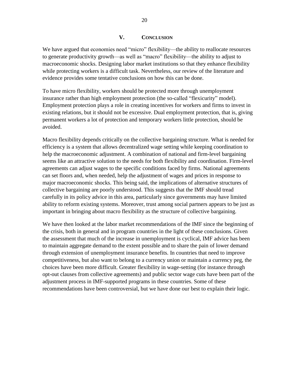### **V. CONCLUSION**

We have argued that economies need "micro" flexibility—the ability to reallocate resources to generate productivity growth—as well as "macro" flexibility—the ability to adjust to macroeconomic shocks. Designing labor market institutions so that they enhance flexibility while protecting workers is a difficult task. Nevertheless, our review of the literature and evidence provides some tentative conclusions on how this can be done.

To have micro flexibility, workers should be protected more through unemployment insurance rather than high employment protection (the so-called "flexicurity" model). Employment protection plays a role in creating incentives for workers and firms to invest in existing relations, but it should not be excessive. Dual employment protection, that is, giving permanent workers a lot of protection and temporary workers little protection, should be avoided.

Macro flexibility depends critically on the collective bargaining structure. What is needed for efficiency is a system that allows decentralized wage setting while keeping coordination to help the macroeconomic adjustment. A combination of national and firm-level bargaining seems like an attractive solution to the needs for both flexibility and coordination. Firm-level agreements can adjust wages to the specific conditions faced by firms. National agreements can set floors and, when needed, help the adjustment of wages and prices in response to major macroeconomic shocks. This being said, the implications of alternative structures of collective bargaining are poorly understood. This suggests that the IMF should tread carefully in its policy advice in this area, particularly since governments may have limited ability to reform existing systems. Moreover, trust among social partners appears to be just as important in bringing about macro flexibility as the structure of collective bargaining.

We have then looked at the labor market recommendations of the IMF since the beginning of the crisis, both in general and in program countries in the light of these conclusions. Given the assessment that much of the increase in unemployment is cyclical, IMF advice has been to maintain aggregate demand to the extent possible and to share the pain of lower demand through extension of unemployment insurance benefits. In countries that need to improve competitiveness, but also want to belong to a currency union or maintain a currency peg, the choices have been more difficult. Greater flexibility in wage-setting (for instance through opt-out clauses from collective agreements) and public sector wage cuts have been part of the adjustment process in IMF-supported programs in these countries. Some of these recommendations have been controversial, but we have done our best to explain their logic.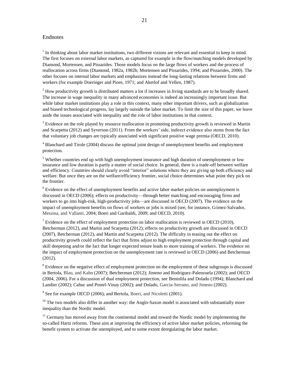#### **Endnotes**

 $1$  In thinking about labor market institutions, two different visions are relevant and essential to keep in mind. The first focuses on external labor markets, as captured for example in the flow/matching models developed by Diamond, Mortensen, and Pissarides. Those models focus on the large flows of workers and the process of reallocation across firms (Diamond, 1982a, 1982b; Mortensen and Pissarides, 1994; and Pissarides, 2000). The other focuses on internal labor markets and emphasizes instead the long-lasting relations between firms and workers (for example Doeringer and Piore, 1971; and Akerlof and Yellen, 1987).

<sup>2</sup> How productivity growth is distributed matters a lot if increases in living standards are to be broadly shared. The increase in wage inequality in many advanced economies is indeed an increasingly important issue. But while labor market institutions play a role in this context, many other important drivers, such as globalization and biased technological progress, lay largely outside the labor market. To limit the size of this paper, we leave aside the issues associated with inequality and the role of labor institutions in that context.

<sup>3</sup> Evidence on the role played by resource reallocation in promoting productivity growth is reviewed in Martin and Scarpetta (2012) and Syverson (2011). From the workers' side, indirect evidence also stems from the fact that voluntary job changes are typically associated with significant positive wage premia (OECD, 2010).

<sup>4</sup> Blanchard and Tirole (2004) discuss the optimal joint design of unemployment benefits and employment protection.

<sup>5</sup> Whether countries end up with high unemployment insurance and high duration of unemployment or low insurance and low duration is partly a matter of social choice. In general, there is a trade-off between welfare and efficiency. Countries should clearly avoid "interior" solutions where they are giving up both efficiency and welfare. But once they are on the welfare/efficiency frontier, social choice determines what point they pick on the frontier.

<sup>6</sup> Evidence on the effect of unemployment benefits and active labor market policies on unemployment is discussed in OECD (2006); effects on productivity—through better matching and encouraging firms and workers to go into high-risk, high-productivity jobs—are discussed in OECD (2007). The evidence on the impact of unemployment benefits on flows of workers or jobs is mixed (see, for instance, Gómez-Salvador, Messina, and Vallanti, 2004; Boeri and Garibaldi, 2009; and OECD, 2010).

<sup>7</sup> Evidence on the effect of employment protection on labor reallocation is reviewed in OECD (2010), Betcherman (2012), and Martin and Scarpetta (2012); effects on productivity growth are discussed in OECD (2007), Betcherman (2012), and Martin and Scarpetta (2012). The difficulty in teasing out the effect on productivity growth could reflect the fact that firms adjust to high employment protection through capital and skill deepening and/or the fact that longer expected tenure leads to more training of workers. The evidence on the impact of employment protection on the unemployment rate is reviewed in OECD (2006) and Betcherman (2012).

<sup>8</sup> Evidence on the negative effect of employment protection on the employment of these subgroups is discussed in Bertola, Blau, and Kahn (2007); Betcherman (2012); Jimeno and Rodriguez-Palenzuela (2002); and OECD (2004, 2006). For a discussion of dual employment protection, see Bentolila and Dolado (1994); Blanchard and Landier (2002); Cahuc and Postel-Vinay (2002); and Dolado, García‐Serrano, and Jimeno (2002).

<sup>9</sup> See for example OECD (2006); and Bertola, Boeri, and Nicoletti (2001).

 $10$  The two models also differ in another way: the Anglo-Saxon model is associated with substantially more inequality than the Nordic model.

 $11$  Germany has moved away from the continental model and toward the Nordic model by implementing the so-called Hartz reforms. These aim at improving the efficiency of active labor market policies, reforming the benefit system to activate the unemployed, and to some extent deregulating the labor market.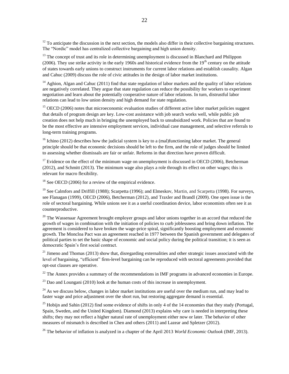$12$  To anticipate the discussion in the next section, the models also differ in their collective bargaining structures. The "Nordic" model has centralized collective bargaining and high union density.

<sup>13</sup> The concept of trust and its role in determining unemployment is discussed in Blanchard and Philippon (2006). They use strike activity in the early 1960s and historical evidence from the  $19<sup>th</sup>$  century on the attitude of states towards early unions to construct instruments for current labor relations and establish causality. Algan and Cahuc (2009) discuss the role of civic attitudes in the design of labor market institutions.

<sup>14</sup> Aghion, Algan and Cahuc (2011) find that state regulation of labor markets and the quality of labor relations are negatively correlated. They argue that state regulation can reduce the possibility for workers to experiment negotiation and learn about the potentially cooperative nature of labor relations. In turn, distrustful labor relations can lead to low union density and high demand for state regulation.

 $15$  OECD (2006) notes that microeconomic evaluation studies of different active labor market policies suggest that details of program design are key. Low-cost assistance with job search works well, while public job creation does not help much in bringing the unemployed back to unsubsidized work. Policies that are found to be the most effective are intensive employment services, individual case management, and selective referrals to long-term training programs.

<sup>16</sup> Ichino (2012) describes how the judicial system is key to a (mal)functioning labor market. The general principle should be that economic decisions should be left to the firm, and the role of judges should be limited to assessing whether dismissals are fair or unfair. Reforms in that direction have proven difficult.

 $17$  Evidence on the effect of the minimum wage on unemployment is discussed in OECD (2006), Betcherman (2012), and Schmitt (2013). The minimum wage also plays a role through its effect on other wages; this is relevant for macro flexibility.

<sup>18</sup> See OECD (2006) for a review of the empirical evidence.

<sup>19</sup> See Calmfors and Driffill (1988); Scarpetta (1996); and Elmeskov, Martin, and Scarpetta (1998). For surveys, see Flanagan (1999), OECD (2006), Betcherman (2012), and Traxler and Brandl (2009). One open issue is the role of sectoral bargaining. While unions see it as a useful coordination device, labor economists often see it as counterproductive.

 $20$  The Wassenaar Agreement brought employer groups and labor unions together in an accord that reduced the growth of wages in combination with the initiation of policies to curb joblessness and bring down inflation. The agreement is considered to have broken the wage-price spiral, significantly boosting employment and economic growth. The Moncloa Pact was an agreement reached in 1977 between the Spanish government and delegates of political parties to set the basic shape of economic and social policy during the political transition; it is seen as democratic Spain's first social contract.

 $21$  Jimeno and Thomas (2013) show that, disregarding externalities and other strategic issues associated with the level of bargaining, "efficient" firm-level bargaining can be reproduced with sectoral agreements provided that opt-out clauses are operative.

 $22$  The Annex provides a summary of the recommendations in IMF programs in advanced economies in Europe.

 $^{23}$  Dao and Loungani (2010) look at the human costs of this increase in unemployment.

 $^{24}$  As we discuss below, changes in labor market institutions are useful over the medium run, and may lead to faster wage and price adjustment over the short run, but restoring aggregate demand is essential.

<sup>25</sup> Hobijn and Sahin (2012) find some evidence of shifts in only 4 of the 14 economies that they study (Portugal, Spain, Sweden, and the United Kingdom). Diamond (2013) explains why care is needed in interpreting these shifts; they may not reflect a higher natural rate of unemployment either now or later. The behavior of other measures of mismatch is described in Chen and others (2011) and Lazear and Spletzer (2012).

<sup>26</sup> The behavior of inflation is analyzed in a chapter of the April 2013 *World Economic Outlook* (IMF, 2013).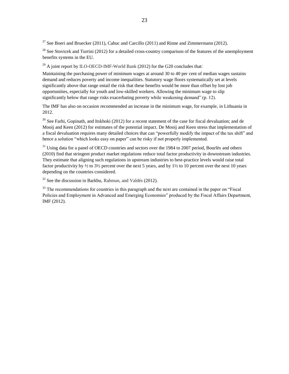<sup>27</sup> See Boeri and Bruecker (2011), Cahuc and Carcillo (2011) and Rinne and Zimmermann (2012).

<sup>28</sup> See Stovicek and Turrini (2012) for a detailed cross-country comparison of the features of the unemployment benefits systems in the EU.

 $^{29}$  A joint report by ILO-OECD-IMF-World Bank (2012) for the G20 concludes that:

Maintaining the purchasing power of minimum wages at around 30 to 40 per cent of median wages sustains demand and reduces poverty and income inequalities. Statutory wage floors systematically set at levels significantly above that range entail the risk that these benefits would be more than offset by lost job opportunities, especially for youth and low-skilled workers. Allowing the minimum wage to slip significantly below that range risks exacerbating poverty while weakening demand"  $(p, 12)$ .

The IMF has also on occasion recommended an increase in the minimum wage, for example, in Lithuania in 2012.

 $30$  See Farhi, Gopinath, and Itskhoki (2012) for a recent statement of the case for fiscal devaluation; and de [Mooij and Keen \(2012\)](https://www.imf.org/external/pubs/ft/wp/2012/wp1285.pdf) for estimates of the potential impact. De Mooij and Keen stress that implementation of a fiscal devaluation requires many detailed choices that can "powerfully modify the impact of the tax shift" and hence a solution "which looks easy on paper" can be risky if not properly implemented.

 $31$  Using data for a panel of OECD countries and sectors over the 1984 to 2007 period, Bourlès and others (2010) find that stringent product market regulations reduce total factor productivity in downstream industries. They estimate that aligning such regulations in upstream industries to best-practice levels would raise total factor productivity by  $\frac{1}{2}$  to 3<sup>1</sup>/<sub>2</sub> percent over the next 5 years, and by 1<sup>1</sup>/<sub>2</sub> to 10 percent over the next 10 years depending on the countries considered.

 $32$  See the discussion in Barkbu, Rahman, and Valdés (2012).

<sup>33</sup> The recommendations for countries in this paragraph and the next are contained in the paper on "Fiscal" Policies and Employment in Advanced and Emerging Economies" produced by the Fiscal Affairs Department, IMF (2012).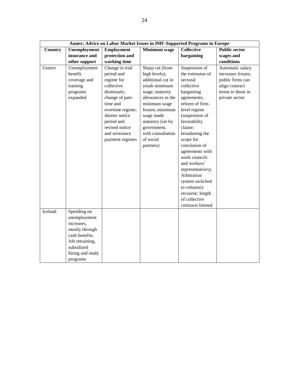| Annex: Advice on Labor Market Issues in IMF-Supported Programs in Europe |                                                                                                                                                |                                                                                                                                                                                                                   |                                                                                                                                                                                                                                                  |                                                                                                                                                                                                                                                                                                                                                                                                               |                                                                                                                    |  |  |
|--------------------------------------------------------------------------|------------------------------------------------------------------------------------------------------------------------------------------------|-------------------------------------------------------------------------------------------------------------------------------------------------------------------------------------------------------------------|--------------------------------------------------------------------------------------------------------------------------------------------------------------------------------------------------------------------------------------------------|---------------------------------------------------------------------------------------------------------------------------------------------------------------------------------------------------------------------------------------------------------------------------------------------------------------------------------------------------------------------------------------------------------------|--------------------------------------------------------------------------------------------------------------------|--|--|
| <b>Country</b>                                                           | Unemployment                                                                                                                                   | <b>Employment</b>                                                                                                                                                                                                 | Minimum wage                                                                                                                                                                                                                                     | <b>Collective</b>                                                                                                                                                                                                                                                                                                                                                                                             | <b>Public sector</b>                                                                                               |  |  |
|                                                                          | insurance and                                                                                                                                  | protection and                                                                                                                                                                                                    |                                                                                                                                                                                                                                                  | bargaining                                                                                                                                                                                                                                                                                                                                                                                                    | wages and                                                                                                          |  |  |
|                                                                          | other support                                                                                                                                  | working time                                                                                                                                                                                                      |                                                                                                                                                                                                                                                  |                                                                                                                                                                                                                                                                                                                                                                                                               | conditions                                                                                                         |  |  |
| Greece                                                                   | Unemployment<br>benefit<br>coverage and<br>training<br>programs<br>expanded                                                                    | Change in trial<br>period and<br>regime for<br>collective<br>dismissals;<br>change of part-<br>time and<br>overtime regime;<br>shorter notice<br>period and<br>revised notice<br>and severance<br>payment regimes | Sharp cut (from<br>high levels);<br>additional cut in<br>youth minimum<br>wage; maturity<br>allowances in the<br>minimum wage<br>frozen; minimum<br>wage made<br>statutory (set by<br>government,<br>with consultation<br>of social<br>partners) | Suspension of<br>the extension of<br>sectoral<br>collective<br>bargaining<br>agreements;<br>reform of firm-<br>level regime<br>(suspension of<br>favorability<br>clause;<br>broadening the<br>scope for<br>conclusion of<br>agreements with<br>work councils<br>and workers'<br>representatives).<br>Arbitration<br>system switched<br>to voluntary<br>recourse; length<br>of collective<br>contracts limited | Automatic salary<br>increases frozen;<br>public firms can<br>align contract<br>terms to those in<br>private sector |  |  |
| Iceland                                                                  | Spending on<br>unemployment<br>increases,<br>mostly through<br>cash benefits.<br>Job retraining,<br>subsidized<br>hiring and study<br>programs |                                                                                                                                                                                                                   |                                                                                                                                                                                                                                                  |                                                                                                                                                                                                                                                                                                                                                                                                               |                                                                                                                    |  |  |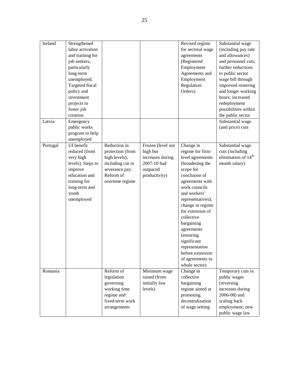| Ireland  | Strengthened<br>labor activation<br>and training for<br>job seekers,<br>particularly<br>long-term<br>unemployed.<br>Targeted fiscal<br>policy and<br>investment<br>projects to<br>foster job<br>creation |                                                                                                                         |                                                                                               | Revised regime<br>for sectoral wage<br>agreements<br>(Registered<br>Employment<br>Agreements and<br>Employment<br>Regulation<br>Orders)                                                                                                                                                                                                                              | Substantial wage<br>(including pay rate<br>and allowances)<br>and personnel cuts;<br>further reductions<br>to public sector<br>wage bill through<br>improved rostering<br>and longer working<br>hours; increased<br>redeployment<br>possibilities within<br>the public sector |
|----------|----------------------------------------------------------------------------------------------------------------------------------------------------------------------------------------------------------|-------------------------------------------------------------------------------------------------------------------------|-----------------------------------------------------------------------------------------------|----------------------------------------------------------------------------------------------------------------------------------------------------------------------------------------------------------------------------------------------------------------------------------------------------------------------------------------------------------------------|-------------------------------------------------------------------------------------------------------------------------------------------------------------------------------------------------------------------------------------------------------------------------------|
| Latvia   | Emergency<br>public works<br>program to help<br>unemployed                                                                                                                                               |                                                                                                                         |                                                                                               |                                                                                                                                                                                                                                                                                                                                                                      | Substantial wage<br>(and price) cuts                                                                                                                                                                                                                                          |
| Portugal | <b>UI</b> benefit<br>reduced (from<br>very high<br>levels). Steps to<br>improve<br>education and<br>training for<br>long-term and<br>youth<br>unemployed                                                 | Reduction in<br>protection (from<br>high levels),<br>including cut in<br>severance pay.<br>Reform of<br>overtime regime | Frozen (level not<br>high but<br>increases during<br>2007-10 had<br>outpaced<br>productivity) | Change in<br>regime for firm-<br>level agreements<br>(broadening the<br>scope for<br>conclusion of<br>agreements with<br>work councils<br>and workers'<br>representatives);<br>change in regime<br>for extension of<br>collective<br>bargaining<br>agreements<br>(ensuring<br>significant<br>representation<br>before extension<br>of agreements to<br>whole sector) | Substantial wage<br>cuts (including<br>elimination of 14 <sup>th</sup><br>month salary)                                                                                                                                                                                       |
| Romania  |                                                                                                                                                                                                          | Reform of<br>legislation<br>governing<br>working time<br>regime and<br>fixed-term work<br>arrangements                  | Minimum wage<br>raised (from<br>initially low<br>levels)                                      | Change in<br>collective<br>bargaining<br>regime aimed at<br>promoting<br>decentralization<br>of wage setting                                                                                                                                                                                                                                                         | Temporary cuts in<br>public wages<br>(reversing<br>increases during<br>2006-08) and<br>scaling back<br>employment; new<br>public wage law                                                                                                                                     |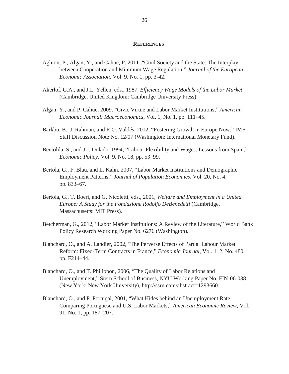#### **REFERENCES**

- Aghion, P., Algan, Y., and Cahuc, P. 2011, "Civil Society and the State: The Interplay between Cooperation and Minimum Wage Regulation," *Journal of the European Economic Association*, Vol. 9, No. 1, pp. 3-42.
- Akerlof, G.A., and J.L. Yellen, eds., 1987, *Efficiency Wage Models of the Labor Market* (Cambridge, United Kingdom: Cambridge University Press).
- Algan, Y., and P. Cahuc, 2009, "Civic Virtue and Labor Market Institutions," *American Economic Journal: Macroeconomics*, Vol. 1, No. 1, pp. 111–45.
- Barkbu, B., J. Rahman, and R.O. Valdés, 2012, "Fostering Growth in Europe Now," IMF Staff Discussion Note No. 12/07 (Washington: International Monetary Fund).
- Bentolila, S., and J.J. Dolado, 1994, "Labour Flexibility and Wages: Lessons from Spain," *Economic Policy*, Vol. 9, No. 18, pp. 53–99.
- Bertola, G., F. Blau, and L. Kahn, 2007, "Labor Market Institutions and Demographic [Employment Patterns,](http://ideas.repec.org/a/spr/jopoec/v20y2007i4p833-867.html)‖ *[Journal of Population Economics](http://ideas.repec.org/s/spr/jopoec.html)*, Vol. 20, No. 4, pp. 833–67.
- Bertola, G., T. Boeri, and G. Nicoletti, eds., 2001, *Welfare and Employment in a United Europe: A Study for the Fondazione Rodolfo DeBenedetti* (Cambridge, Massachusetts: MIT Press).
- Betcherman, G., 2012, "Labor Market Institutions: A Review of the Literature," World Bank Policy Research Working Paper No. 6276 (Washington).
- Blanchard, O., and A. Landier, 2002, "The Perverse Effects of Partial Labour Market Reform: Fixed-Term Contracts in France," *Economic Journal*, Vol. 112, No. 480, pp. F214–44.
- Blanchard, O., and T. Philippon, 2006, "The Quality of Labor Relations and Unemployment," Stern School of Business, NYU Working Paper No. FIN-06-038 (New York: New York University), http://ssrn.com/abstract=1293660.
- Blanchard, O., and P. Portugal, 2001, "What Hides behind an Unemployment Rate: Comparing Portuguese and U.S. Labor Markets," *American Economic Review*, Vol. 91, No. 1, pp. 187–207.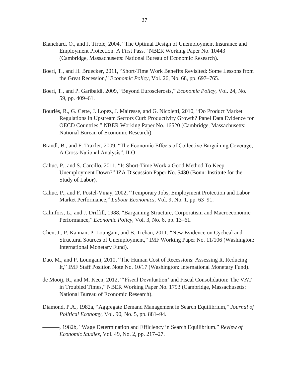- Blanchard, O., and J. Tirole, 2004, "The Optimal Design of Unemployment Insurance and Employment Protection. A First Pass." NBER Working Paper No. 10443 (Cambridge, Massachusetts: National Bureau of Economic Research).
- Boeri, T., and H. Bruecker, 2011, "Short-Time Work Benefits Revisited: Some Lessons from the Great Recession," *Economic Policy*, Vol. 26, No. 68, pp. 697–765.
- Boeri, T., and P. Garibaldi, 2009, "Beyond Eurosclerosis," *Economic Policy*, Vol. 24, No. 59, pp. 409–61.
- Bourlès, R., G. Cette, J. Lopez, J. Mairesse, and G. Nicoletti, 2010, "Do Product Market Regulations in Upstream Sectors Curb Productivity Growth? Panel Data Evidence for OECD Countries," NBER Working Paper No. 16520 (Cambridge, Massachusetts: National Bureau of Economic Research).
- Brandl, B., and F. Traxler, 2009, "The Economic Effects of Collective Bargaining Coverage; A Cross-National Analysis", ILO
- Cahuc, P., and S. Carcillo, 2011, "Is Short-Time Work a Good Method To Keep Unemployment Down?" IZA Discussion Paper No. 5430 (Bonn: Institute for the Study of Labor).
- Cahuc, P., and F. Postel-Vinay, 2002, "Temporary Jobs, Employment Protection and Labor Market Performance," *Labour Economics*, Vol. 9, No. 1, pp. 63-91.
- Calmfors, L., and J. Driffill, 1988, "Bargaining Structure, Corporatism and Macroeconomic Performance," *Economic Policy*, Vol. 3, No. 6, pp. 13–61.
- Chen, J., P. Kannan, P. Loungani, and B. Trehan, 2011, "New Evidence on Cyclical and Structural Sources of Unemployment," IMF Working Paper No. 11/106 (Washington: International Monetary Fund).
- Dao, M., and P. Loungani, 2010, "The Human Cost of Recessions: Assessing It, Reducing It," IMF Staff Position Note No. 10/17 (Washington: International Monetary Fund).
- de Mooij, R., and M. Keen, 2012, "'Fiscal Devaluation' and Fiscal Consolidation: The VAT in Troubled Times," NBER Working Paper No. 1793 (Cambridge, Massachusetts: National Bureau of Economic Research).
- Diamond, P.A., 1982a, "Aggregate Demand Management in Search Equilibrium," *Journal of Political Economy*, Vol. 90, No. 5, pp. 881–94.

 $-$ , 1982b, "Wage Determination and Efficiency in Search Equilibrium," *Review of Economic Studies*, Vol. 49, No. 2, pp. 217–27.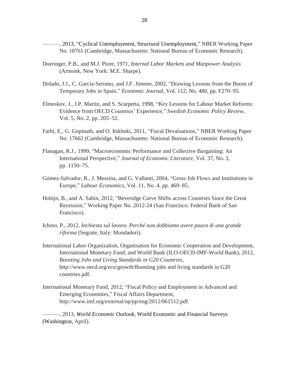–, 2013, "Cyclical Unemployment, Structural Unemployment," NBER Working Paper No. 18761 (Cambridge, Massachusetts: National Bureau of Economic Research).

- Doeringer, P.B., and M.J. Piore, 1971, *Internal Labor Markets and Manpower Analysis* (Armonk, New York: M.E. Sharpe).
- Dolado, J.J., C. García-Serrano, and J.F. Jimeno, 2002, "Drawing Lessons from the Boom of Temporary Jobs in Spain," *Economic Journal*, Vol. 112, No. 480, pp. F270–95.
- Elmeskov, J., J.P. Martin, and S. Scarpetta, 1998, "Key Lessons for Labour Market Reforms: Evidence from OECD Countries' Experience," Swedish Economic Policy Review, Vol. 5, No. 2, pp. 205–52.
- Farhi, E., G. Gopinath, and O. Itskhoki, 2011, "Fiscal Devaluations," NBER Working Paper No. 17662 (Cambridge, Massachusetts: National Bureau of Economic Research).
- Flanagan, R.J., 1999, "Macroeconomic Performance and Collective Bargaining: An International Perspective," *Journal of Economic Literature*, Vol. 37, No. 3, pp. 1150–75.
- Gómez-Salvador, R., J. Messina, and G. Vallanti, 2004, "Gross Job Flows and Institutions in Europe," *Labour Economics*, Vol. 11, No. 4, pp. 469–85.
- Hobijn, B., and A. Sahin, 2012, "Beveridge Curve Shifts across Countries Since the Great Recession," Working Paper No. 2012-24 (San Francisco: Federal Bank of San Francisco).
- Ichino, P., 2012, *Inchiesta sul lavoro. Perché non dobbiamo avere paura di una grande riforma* (Segrate, Italy: Mondadori)*.*
- International Labor Organization, Organisation for Economic Cooperation and Development, International Monetary Fund, and World Bank (ILO-OECD-IMF-World Bank), 2012, *Boosting Jobs and Living Standards in G20 Countries*, http://www.oecd.org/eco/growth/Boosting jobs and living standards in G20 countries.pdf.
- International Monetary Fund, 2012, "Fiscal Policy and Employment in Advanced and Emerging Economies," Fiscal Affairs Department, http://www.imf.org/external/np/pp/eng/2012/061512.pdf.

———, 2013, *World Economic Outlook,* World Economic and Financial Surveys (Washington, April).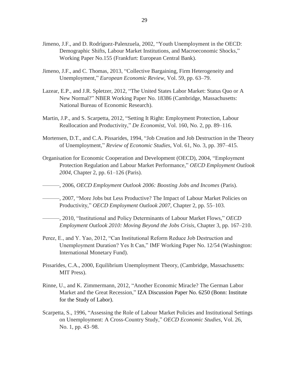- Jimeno, J.F., and D. Rodríguez-Palenzuela, 2002, "Youth Unemployment in the OECD: Demographic Shifts, Labour Market Institutions, and Macroeconomic Shocks," Working Paper No.155 (Frankfurt: European Central Bank).
- Jimeno, J.F., and C. Thomas, 2013, "Collective Bargaining, Firm Heterogeneity and Unemployment," *European Economic Review*, Vol. 59, pp. 63–79.
- Lazear, E.P., and J.R. Spletzer, 2012, "The United States Labor Market: Status Quo or A New Normal?" NBER Working Paper No. 18386 (Cambridge, Massachusetts: National Bureau of Economic Research).
- Martin, J.P., and S. Scarpetta, 2012, "Setting It Right: Employment Protection, Labour Reallocation and Productivity," *De Economist*, Vol. 160, No. 2, pp. 89–116.
- Mortensen, D.T., and C.A. Pissarides, 1994, "Job Creation and Job Destruction in the Theory of Unemployment,‖ *Review of Economic Studies*, Vol. 61, No. 3, pp. 397–415.
- Organisation for Economic Cooperation and Development (OECD), 2004, "Employment Protection Regulation and Labour Market Performance," *OECD Employment Outlook 2004*, Chapter 2, pp. 61–126 (Paris).
- ———, 2006, *OECD Employment Outlook 2006: Boosting Jobs and Incomes* (Paris).
- ———, 2007, ―More Jobs but Less Productive? The Impact of Labour Market Policies on Productivity," *OECD Employment Outlook 2007*, Chapter 2, pp. 55–103.
- $-$ , 2010, "Institutional and Policy Determinants of Labour Market Flows," *OECD Employment Outlook 2010: Moving Beyond the Jobs Crisis*, Chapter 3, pp. 167–210.
- Perez, E., and Y. Yao, 2012, "Can Institutional Reform Reduce Job Destruction and Unemployment Duration? Yes It Can," IMF Working Paper No. 12/54 (Washington: International Monetary Fund).
- Pissarides, C.A., 2000, Equilibrium Unemployment Theory, (Cambridge, Massachusetts: MIT Press).
- Rinne, U., and K. Zimmermann, 2012, "Another Economic Miracle? The German Labor Market and the Great Recession," IZA Discussion Paper No. 6250 (Bonn: Institute for the Study of Labor).
- Scarpetta, S., 1996, "Assessing the Role of Labour Market Policies and Institutional Settings on Unemployment: A Cross-Country Study," *OECD Economic Studies*, Vol. 26, No. 1, pp. 43–98.